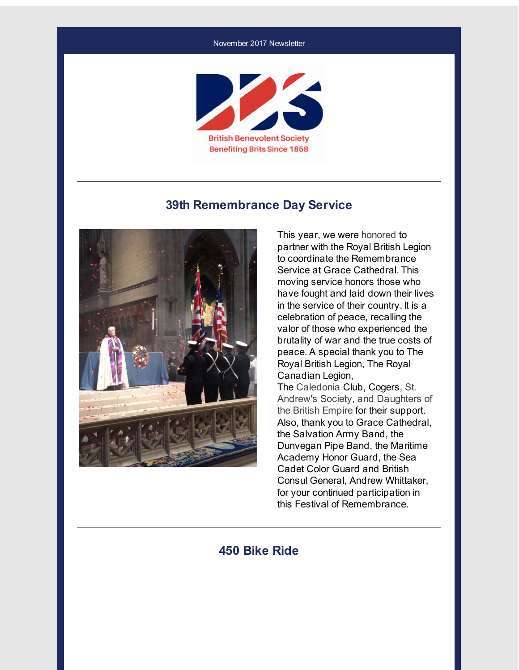#### November 2017 Newsletter



#### **39th Remembrance Day Service**



This year, we were honored to partner with the Royal British Legion to coordinate the Remembrance Service at Grace Cathedral. This moving service honors those who have fought and laid down their lives in the service of their country. It is a celebration of peace, recalling the valor of those who experienced the brutality of war and the true costs of peace. A special thank you to The Royal British Legion, The Royal Canadian Legion, The Caledonia Club, Cogers, St. Andrew's Society, and Daughters of the British Empire for their support. Also, thank you to Grace Cathedral, the Salvation Army Band, the Dunvegan Pipe Band, the Maritime Academy Honor Guard, the Sea Cadet Color Guard and British Consul General, Andrew Whittaker,

for your continued participation in this Festival of Remembrance.

#### **450 Bike Ride**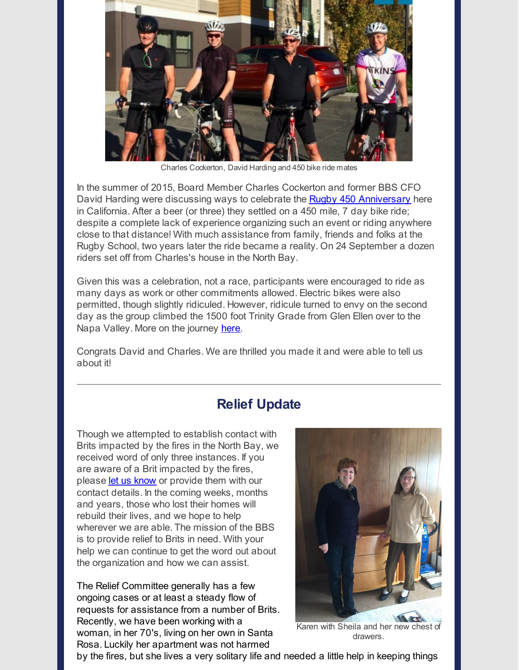

Charles Cockerton, David Harding and 450 bike ride mates

In the summer of 2015, Board Member Charles Cockerton and former BBS CFO David Harding were discussing ways to celebrate the **Rugby 450 [Anniversary](http://r20.rs6.net/tn.jsp?f=00166dU0FQ8LZCSu56pkhKgfegDhtuKQ6NE6eMMLr3Fj66TTIaZI3kXKaFzlYJm6WsSn3D3H3SkWb6YemVK6VIKeefI4H8OXgVMi9HHc2qbuS_fMpVw70UnuZJYr0SDOepTf6YJGkhLLJ-vxB8hOXCivwGdQNn9__mMcLCFmcncFeSY-dizTAJqLA==&c=&ch=)** here in California. After a beer (or three) they settled on a 450 mile, 7 day bike ride; despite a complete lack of experience organizing such an event or riding anywhere close to that distance! With much assistance from family, friends and folks at the Rugby School, two years later the ride became a reality. On 24 September a dozen riders set off from Charles's house in the North Bay.

Given this was a celebration, not a race, participants were encouraged to ride as many days as work or other commitments allowed. Electric bikes were also permitted, though slightly ridiculed. However, ridicule turned to envy on the second day as the group climbed the 1500 foot Trinity Grade from Glen Ellen over to the Napa Valley. More on the journey [here](http://r20.rs6.net/tn.jsp?f=00166dU0FQ8LZCSu56pkhKgfegDhtuKQ6NE6eMMLr3Fj66TTIaZI3kXKaFzlYJm6WsSNHVy8adcubYg9nU9eZbYNIj5Wy5-u5TmdA63CRNsDVQD0TeWJkxMDmJDCahIxqLMtwNdBUDhvDspQdg5Re8S1E8-91cRAEnbwVCdrN2wVuRyxrkkb2Kf7jzqC9ApqvrxQChUm3psxQkkxvGW7B5I-fgWUv84rZCAHolC7N7jibbF6dkFCiyXPQ==&c=&ch=).

Congrats David and Charles. We are thrilled you made it and were able to tell us about it!

#### **Relief Update**

Though we attempted to establish contact with Brits impacted by the fires in the North Bay, we received word of only three instances. If you are aware of a Brit impacted by the fires, please let us [know](mailto:jennifer.baker@bbsofca.org) or provide them with our contact details. In the coming weeks, months and years, those who lost their homes will rebuild their lives, and we hope to help wherever we are able. The mission of the BBS is to provide relief to Brits in need. With your help we can continue to get the word out about the organization and how we can assist.

The Relief Committee generally has a few ongoing cases or at least a steady flow of requests for assistance from a number of Brits. Recently, we have been working with a woman, in her 70's, living on her own in Santa Rosa. Luckily her apartment was not harmed



Karen with Sheila and her new chest of drawers.

by the fires, but she lives a very solitary life and needed a little help in keeping things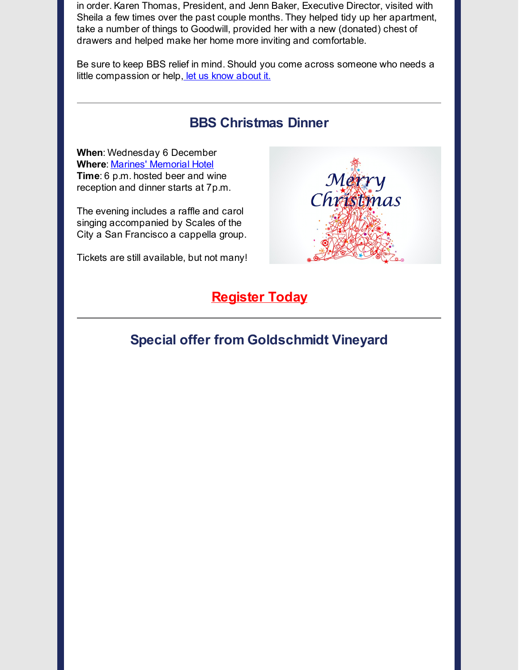in order. Karen Thomas, President, and Jenn Baker, Executive Director, visited with Sheila a few times over the past couple months. They helped tidy up her apartment, take a number of things to Goodwill, provided her with a new (donated) chest of drawers and helped make her home more inviting and comfortable.

Be sure to keep BBS relief in mind. Should you come across someone who needs a little compassion or help, let us know [about](mailto:jennifer.baker@bbsofca.org) it.

## **BBS Christmas Dinner**

Merry

Christinas

**When**: Wednesday 6 December **Where**: Marines' [Memorial](http://r20.rs6.net/tn.jsp?f=00166dU0FQ8LZCSu56pkhKgfegDhtuKQ6NE6eMMLr3Fj66TTIaZI3kXKSJQ8cYe7apzVse2MUfQntVpv4DGyX_PIY4UNy4jb2YSbEQvGuJISiLM_dkzVuRPSaXj-WP1g1aI3L1X99vzWgMgKiVWdYiETqzpNjOsLlgwqxodZaqfLcbbLK9haIFsew==&c=&ch=) Hotel **Time**: 6 p.m. hosted beer and wine reception and dinner starts at 7p.m.

The evening includes a raffle and carol singing accompanied by Scales of the City a San Francisco a cappella group.

Tickets are still available, but not many!

## **[Register](http://r20.rs6.net/tn.jsp?f=00166dU0FQ8LZCSu56pkhKgfegDhtuKQ6NE6eMMLr3Fj66TTIaZI3kXKeOqF_jKGyZL8ZN-Ay4oc7axxZ8EJd1CJUmduVuq_tFZTNHp8Rx3V8S0rdSGH_j9NsQFc4XZw1peS2Bnaf_9ki43YtIS2uFKln0WMjmaSrn5lLAJ9dg2ub5H62kXjggFqL0b3mO76Nyxd4T9V6eLNIrTYtWximf12Xj9FIHafKEqHmesQk54xyqCNbR1Kr-J_w==&c=&ch=) Today**

# **Special offer from Goldschmidt Vineyard**